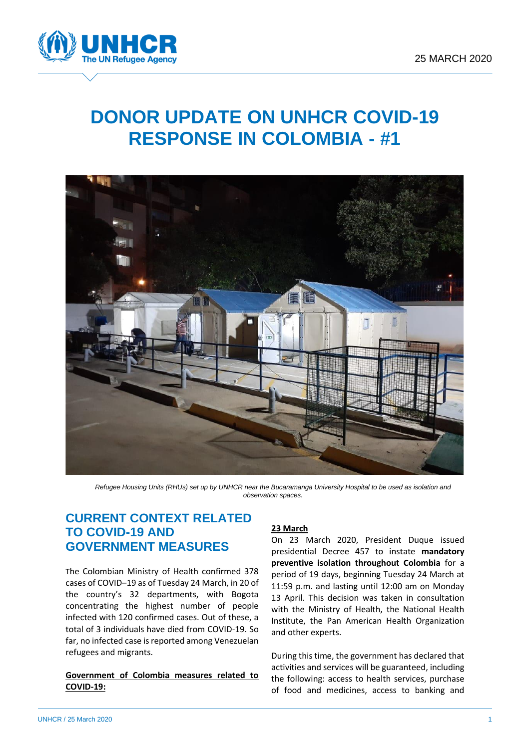

# **DONOR UPDATE ON UNHCR COVID-19 RESPONSE IN COLOMBIA - #1**



*Refugee Housing Units (RHUs) set up by UNHCR near the Bucaramanga University Hospital to be used as isolation and observation spaces.*

## **CURRENT CONTEXT RELATED TO COVID-19 AND GOVERNMENT MEASURES**

The Colombian Ministry of Health confirmed 378 cases of COVID–19 as of Tuesday 24 March, in 20 of the country's 32 departments, with Bogota concentrating the highest number of people infected with 120 confirmed cases. Out of these, a total of 3 individuals have died from COVID-19. So far, no infected case is reported among Venezuelan refugees and migrants.

#### **Government of Colombia measures related to COVID-19:**

### **23 March**

On 23 March 2020, President Duque issued presidential Decree 457 to instate **mandatory preventive isolation throughout Colombia** for a period of 19 days, beginning Tuesday 24 March at 11:59 p.m. and lasting until 12:00 am on Monday 13 April. This decision was taken in consultation with the Ministry of Health, the National Health Institute, the Pan American Health Organization and other experts.

During this time, the government has declared that activities and services will be guaranteed, including the following: access to health services, purchase of food and medicines, access to banking and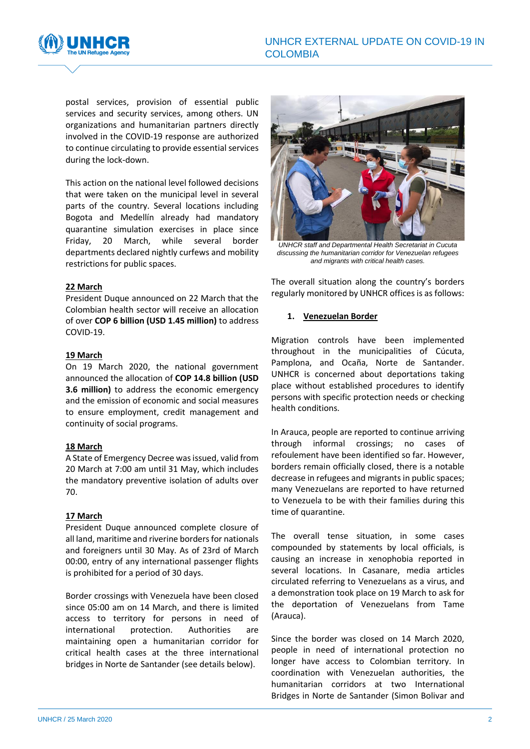

postal services, provision of essential public services and security services, among others. UN organizations and humanitarian partners directly involved in the COVID-19 response are authorized to continue circulating to provide essential services during the lock-down.

This action on the national level followed decisions that were taken on the municipal level in several parts of the country. Several locations including Bogota and Medellín already had mandatory quarantine simulation exercises in place since Friday, 20 March, while several border departments declared nightly curfews and mobility restrictions for public spaces.

#### **22 March**

President Duque announced on 22 March that the Colombian health sector will receive an allocation of over **COP 6 billion (USD 1.45 million)** to address COVID-19.

#### **19 March**

On 19 March 2020, the national government announced the allocation of **COP 14.8 billion (USD 3.6 million)** to address the economic emergency and the emission of economic and social measures to ensure employment, credit management and continuity of social programs.

#### **18 March**

A State of Emergency Decree was issued, valid from 20 March at 7:00 am until 31 May, which includes the mandatory preventive isolation of adults over 70.

#### **17 March**

President Duque announced complete closure of all land, maritime and riverine borders for nationals and foreigners until 30 May. As of 23rd of March 00:00, entry of any international passenger flights is prohibited for a period of 30 days.

Border crossings with Venezuela have been closed since 05:00 am on 14 March, and there is limited access to territory for persons in need of international protection. Authorities are maintaining open a humanitarian corridor for critical health cases at the three international bridges in Norte de Santander (see details below).



*UNHCR staff and Departmental Health Secretariat in Cucuta discussing the humanitarian corridor for Venezuelan refugees and migrants with critical health cases.*

The overall situation along the country's borders regularly monitored by UNHCR offices is as follows:

#### **1. Venezuelan Border**

Migration controls have been implemented throughout in the municipalities of Cúcuta, Pamplona, and Ocaña, Norte de Santander. UNHCR is concerned about deportations taking place without established procedures to identify persons with specific protection needs or checking health conditions.

In Arauca, people are reported to continue arriving through informal crossings; no cases of refoulement have been identified so far. However, borders remain officially closed, there is a notable decrease in refugees and migrants in public spaces; many Venezuelans are reported to have returned to Venezuela to be with their families during this time of quarantine.

The overall tense situation, in some cases compounded by statements by local officials, is causing an increase in xenophobia reported in several locations. In Casanare, media articles circulated referring to Venezuelans as a virus, and a demonstration took place on 19 March to ask for the deportation of Venezuelans from Tame (Arauca).

Since the border was closed on 14 March 2020, people in need of international protection no longer have access to Colombian territory. In coordination with Venezuelan authorities, the humanitarian corridors at two International Bridges in Norte de Santander (Simon Bolivar and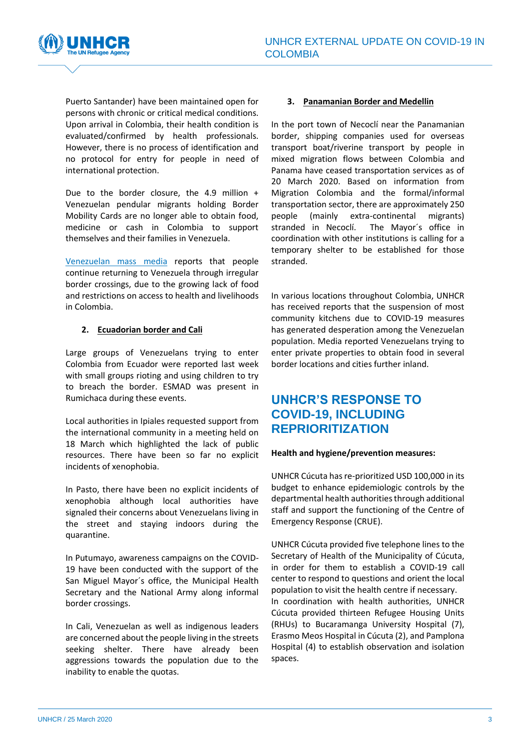

Puerto Santander) have been maintained open for persons with chronic or critical medical conditions. Upon arrival in Colombia, their health condition is evaluated/confirmed by health professionals. However, there is no process of identification and no protocol for entry for people in need of international protection.

Due to the border closure, the 4.9 million + Venezuelan pendular migrants holding Border Mobility Cards are no longer able to obtain food, medicine or cash in Colombia to support themselves and their families in Venezuela.

[Venezuelan mass media](https://www.instagram.com/tv/B-AEYRQhFxC7zDdSWTGtPrc3j1AJFcxTL8RUKc0/?igshid=1dias6trjie9l) reports that people continue returning to Venezuela through irregular border crossings, due to the growing lack of food and restrictions on access to health and livelihoods in Colombia.

#### **2. Ecuadorian border and Cali**

Large groups of Venezuelans trying to enter Colombia from Ecuador were reported last week with small groups rioting and using children to try to breach the border. ESMAD was present in Rumichaca during these events.

Local authorities in Ipiales requested support from the international community in a meeting held on 18 March which highlighted the lack of public resources. There have been so far no explicit incidents of xenophobia.

In Pasto, there have been no explicit incidents of xenophobia although local authorities have signaled their concerns about Venezuelans living in the street and staying indoors during the quarantine.

In Putumayo, awareness campaigns on the COVID-19 have been conducted with the support of the San Miguel Mayor´s office, the Municipal Health Secretary and the National Army along informal border crossings.

In Cali, Venezuelan as well as indigenous leaders are concerned about the people living in the streets seeking shelter. There have already been aggressions towards the population due to the inability to enable the quotas.

#### **3. Panamanian Border and Medellin**

In the port town of Necoclí near the Panamanian border, shipping companies used for overseas transport boat/riverine transport by people in mixed migration flows between Colombia and Panama have ceased transportation services as of 20 March 2020. Based on information from Migration Colombia and the formal/informal transportation sector, there are approximately 250 people (mainly extra-continental migrants) stranded in Necoclí. The Mayor´s office in coordination with other institutions is calling for a temporary shelter to be established for those stranded.

In various locations throughout Colombia, UNHCR has received reports that the suspension of most community kitchens due to COVID-19 measures has generated desperation among the Venezuelan population. Media reported Venezuelans trying to enter private properties to obtain food in several border locations and cities further inland.

## **UNHCR'S RESPONSE TO COVID-19, INCLUDING REPRIORITIZATION**

#### **Health and hygiene/prevention measures:**

UNHCR Cúcuta has re-prioritized USD 100,000 in its budget to enhance epidemiologic controls by the departmental health authorities through additional staff and support the functioning of the Centre of Emergency Response (CRUE).

UNHCR Cúcuta provided five telephone lines to the Secretary of Health of the Municipality of Cúcuta, in order for them to establish a COVID-19 call center to respond to questions and orient the local population to visit the health centre if necessary. In coordination with health authorities, UNHCR Cúcuta provided thirteen Refugee Housing Units (RHUs) to Bucaramanga University Hospital (7), Erasmo Meos Hospital in Cúcuta (2), and Pamplona Hospital (4) to establish observation and isolation spaces.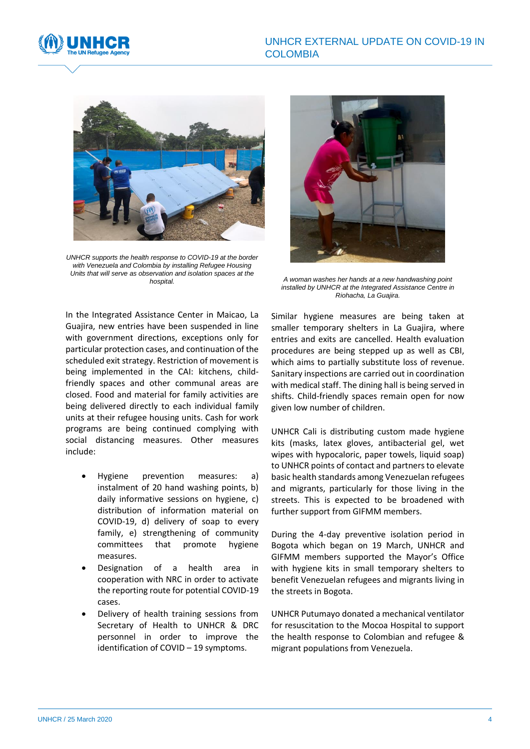



*UNHCR supports the health response to COVID-19 at the border with Venezuela and Colombia by installing Refugee Housing Units that will serve as observation and isolation spaces at the hospital.*



*A woman washes her hands at a new handwashing point installed by UNHCR at the Integrated Assistance Centre in Riohacha, La Guajira.*

In the Integrated Assistance Center in Maicao, La Guajira, new entries have been suspended in line with government directions, exceptions only for particular protection cases, and continuation of the scheduled exit strategy. Restriction of movement is being implemented in the CAI: kitchens, childfriendly spaces and other communal areas are closed. Food and material for family activities are being delivered directly to each individual family units at their refugee housing units. Cash for work programs are being continued complying with social distancing measures. Other measures include:

- Hygiene prevention measures: a) instalment of 20 hand washing points, b) daily informative sessions on hygiene, c) distribution of information material on COVID-19, d) delivery of soap to every family, e) strengthening of community committees that promote hygiene measures.
- Designation of a health area in cooperation with NRC in order to activate the reporting route for potential COVID-19 cases.
- Delivery of health training sessions from Secretary of Health to UNHCR & DRC personnel in order to improve the identification of COVID – 19 symptoms.

Similar hygiene measures are being taken at smaller temporary shelters in La Guajira, where entries and exits are cancelled. Health evaluation procedures are being stepped up as well as CBI, which aims to partially substitute loss of revenue. Sanitary inspections are carried out in coordination with medical staff. The dining hall is being served in shifts. Child-friendly spaces remain open for now given low number of children.

UNHCR Cali is distributing custom made hygiene kits (masks, latex gloves, antibacterial gel, wet wipes with hypocaloric, paper towels, liquid soap) to UNHCR points of contact and partners to elevate basic health standards among Venezuelan refugees and migrants, particularly for those living in the streets. This is expected to be broadened with further support from GIFMM members.

During the 4-day preventive isolation period in Bogota which began on 19 March, UNHCR and GIFMM members supported the Mayor's Office with hygiene kits in small temporary shelters to benefit Venezuelan refugees and migrants living in the streets in Bogota.

UNHCR Putumayo donated a mechanical ventilator for resuscitation to the Mocoa Hospital to support the health response to Colombian and refugee & migrant populations from Venezuela.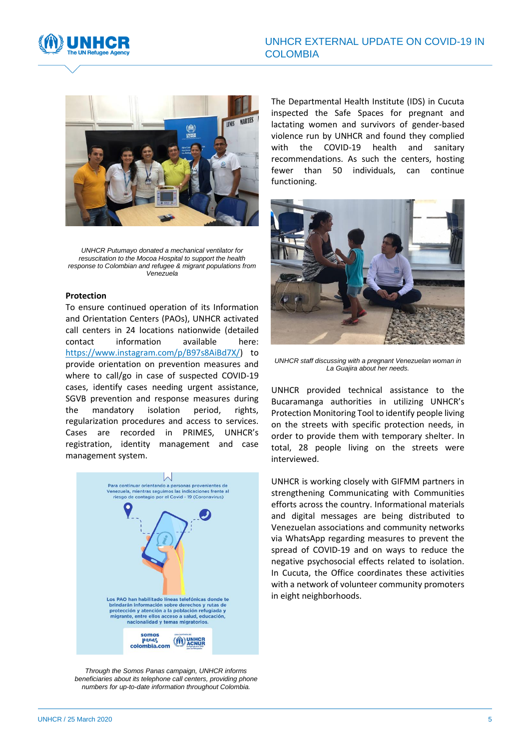



*UNHCR Putumayo donated a mechanical ventilator for resuscitation to the Mocoa Hospital to support the health response to Colombian and refugee & migrant populations from Venezuela*

#### **Protection**

To ensure continued operation of its Information and Orientation Centers (PAOs), UNHCR activated call centers in 24 locations nationwide (detailed contact information available here: [https://www.instagram.com/p/B97s8AiBd7X/\)](https://www.instagram.com/p/B97s8AiBd7X/) to provide orientation on prevention measures and where to call/go in case of suspected COVID-19 cases, identify cases needing urgent assistance, SGVB prevention and response measures during the mandatory isolation period, rights, regularization procedures and access to services. Cases are recorded in PRIMES, UNHCR's registration, identity management and case management system.



*Through the Somos Panas campaign, UNHCR informs beneficiaries about its telephone call centers, providing phone numbers for up-to-date information throughout Colombia.*

The Departmental Health Institute (IDS) in Cucuta inspected the Safe Spaces for pregnant and lactating women and survivors of gender-based violence run by UNHCR and found they complied with the COVID-19 health and sanitary recommendations. As such the centers, hosting fewer than 50 individuals, can continue functioning.



*UNHCR staff discussing with a pregnant Venezuelan woman in La Guajira about her needs.*

UNHCR provided technical assistance to the Bucaramanga authorities in utilizing UNHCR's Protection Monitoring Tool to identify people living on the streets with specific protection needs, in order to provide them with temporary shelter. In total, 28 people living on the streets were interviewed.

UNHCR is working closely with GIFMM partners in strengthening Communicating with Communities efforts across the country. Informational materials and digital messages are being distributed to Venezuelan associations and community networks via WhatsApp regarding measures to prevent the spread of COVID-19 and on ways to reduce the negative psychosocial effects related to isolation. In Cucuta, the Office coordinates these activities with a network of volunteer community promoters in eight neighborhoods.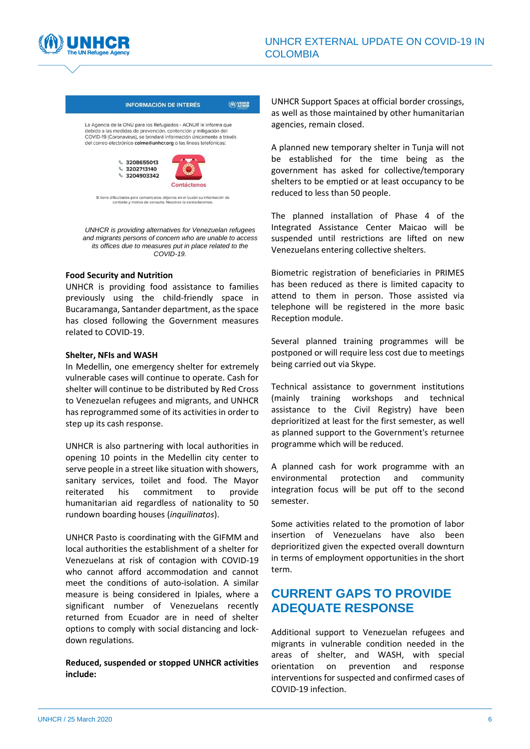



#### **INFORMACIÓN DE INTERÉS** (M) UNHCR

La Agencia de la ONU para los Refugiados - ACNUR le informa que debido a las medidas de prevención, contención y mitigación del covid-19 (Coronavirus), se brindará información únicamente a través<br>del correo electrónico colme@unhcr.org o las líneas telefónicas:



Si tiene dificultades para comunicarse, déjenos en el buzón su información de<br>contacto y motivo de consulta. Nosotros lo contactaremos.

*UNHCR is providing alternatives for Venezuelan refugees and migrants persons of concern who are unable to access its offices due to measures put in place related to the COVID-19.*

#### **Food Security and Nutrition**

UNHCR is providing food assistance to families previously using the child-friendly space in Bucaramanga, Santander department, as the space has closed following the Government measures related to COVID-19.

#### **Shelter, NFIs and WASH**

In Medellin, one emergency shelter for extremely vulnerable cases will continue to operate. Cash for shelter will continue to be distributed by Red Cross to Venezuelan refugees and migrants, and UNHCR has reprogrammed some of its activities in order to step up its cash response.

UNHCR is also partnering with local authorities in opening 10 points in the Medellin city center to serve people in a street like situation with showers, sanitary services, toilet and food. The Mayor reiterated his commitment to provide humanitarian aid regardless of nationality to 50 rundown boarding houses (*inquilinatos*).

UNHCR Pasto is coordinating with the GIFMM and local authorities the establishment of a shelter for Venezuelans at risk of contagion with COVID-19 who cannot afford accommodation and cannot meet the conditions of auto-isolation. A similar measure is being considered in Ipiales, where a significant number of Venezuelans recently returned from Ecuador are in need of shelter options to comply with social distancing and lockdown regulations.

**Reduced, suspended or stopped UNHCR activities include:**

UNHCR Support Spaces at official border crossings, as well as those maintained by other humanitarian agencies, remain closed.

A planned new temporary shelter in Tunja will not be established for the time being as the government has asked for collective/temporary shelters to be emptied or at least occupancy to be reduced to less than 50 people.

The planned installation of Phase 4 of the Integrated Assistance Center Maicao will be suspended until restrictions are lifted on new Venezuelans entering collective shelters.

Biometric registration of beneficiaries in PRIMES has been reduced as there is limited capacity to attend to them in person. Those assisted via telephone will be registered in the more basic Reception module.

Several planned training programmes will be postponed or will require less cost due to meetings being carried out via Skype.

Technical assistance to government institutions (mainly training workshops and technical assistance to the Civil Registry) have been deprioritized at least for the first semester, as well as planned support to the Government's returnee programme which will be reduced.

A planned cash for work programme with an environmental protection and community integration focus will be put off to the second semester.

Some activities related to the promotion of labor insertion of Venezuelans have also been deprioritized given the expected overall downturn in terms of employment opportunities in the short term.

### **CURRENT GAPS TO PROVIDE ADEQUATE RESPONSE**

Additional support to Venezuelan refugees and migrants in vulnerable condition needed in the areas of shelter, and WASH, with special orientation on prevention and response interventions for suspected and confirmed cases of COVID-19 infection.